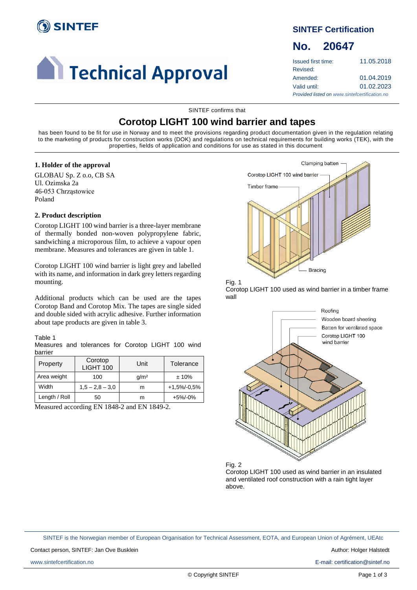

# **Confidence 1 Technical Approval**

### **SINTEF Certification**

## **No. 20647**

| Issued first time:                            | 11.05.2018 |  |
|-----------------------------------------------|------------|--|
| Revised:                                      |            |  |
| Amended:                                      | 01.04.2019 |  |
| Valid until:                                  | 01.02.2023 |  |
| Provided listed on www.sintefcertification.no |            |  |

SINTEF confirms that

## **Corotop LIGHT 100 wind barrier and tapes**

has been found to be fit for use in Norway and to meet the provisions regarding product documentation given in the regulation relating to the marketing of products for construction works (DOK) and regulations on technical requirements for building works (TEK), with the properties, fields of application and conditions for use as stated in this document

#### **1. Holder of the approval**

GLOBAU Sp. Z o.o, CB SA Ul. Ozimska 2a 46-053 Chrząstowice Poland

#### **2. Product description**

Corotop LIGHT 100 wind barrier is a three-layer membrane of thermally bonded non-woven polypropylene fabric, sandwiching a microporous film, to achieve a vapour open membrane. Measures and tolerances are given in table 1.

Corotop LIGHT 100 wind barrier is light grey and labelled with its name, and information in dark grey letters regarding mounting.

Additional products which can be used are the tapes Corotop Band and Corotop Mix. The tapes are single sided and double sided with acrylic adhesive. Further information about tape products are given in table 3.

#### Table 1

Measures and tolerances for Corotop LIGHT 100 wind barrier

| Property      | Corotop<br><b>LIGHT 100</b> | Unit             | Tolerance       |
|---------------|-----------------------------|------------------|-----------------|
| Area weight   | 100                         | q/m <sup>2</sup> | ± 10%           |
| Width         | $1,5 - 2,8 - 3,0$           | m                | $+1.5\% -0.5\%$ |
| Length / Roll | 50                          | m                | $+5\%/0\%$      |

Measured according EN 1848-2 and EN 1849-2.



Fig. 1 Corotop LIGHT 100 used as wind barrier in a timber frame wall



Corotop LIGHT 100 used as wind barrier in an insulated and ventilated roof construction with a rain tight layer above.

SINTEF is the Norwegian member of European Organisation for Technical Assessment, EOTA, and European Union of Agrément, UEAtc

Contact person, SINTEF: Jan Ove Busklein Author: Holger Halstedt Author: Holger Halstedt

www.sintefcertification.no E-mail: certification@sintef.no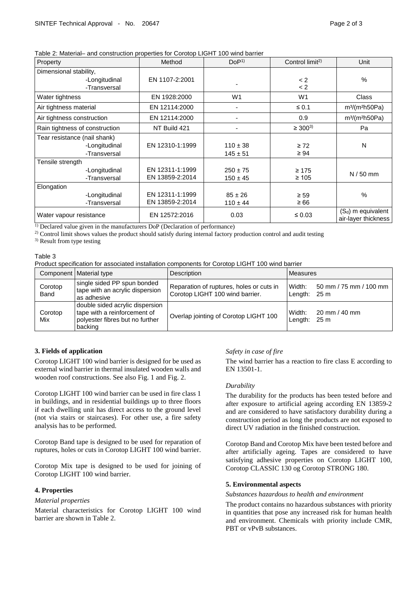Table 2: Material– and construction properties for Corotop LIGHT 100 wind barrier

| Property                       | Method          | DoP <sup>1</sup> | Control limit <sup>2)</sup> | Unit                                        |
|--------------------------------|-----------------|------------------|-----------------------------|---------------------------------------------|
| Dimensional stability,         |                 |                  |                             |                                             |
| -Longitudinal                  | EN 1107-2:2001  |                  | < 2                         | $\frac{0}{0}$                               |
| -Transversal                   |                 |                  | < 2                         |                                             |
| Water tightness                | EN 1928:2000    | W <sub>1</sub>   | W <sub>1</sub>              | Class                                       |
| Air tightness material         | EN 12114:2000   |                  | $\leq 0.1$                  | $m3$ (m <sup>2</sup> h50Pa)                 |
| Air tightness construction     | EN 12114:2000   |                  | 0.9                         | $m3$ (m <sup>2</sup> h50Pa)                 |
| Rain tightness of construction | NT Build 421    | $\overline{a}$   | $\geq 300^{3}$              | Pa                                          |
| Tear resistance (nail shank)   |                 |                  |                             |                                             |
| -Longitudinal                  | EN 12310-1:1999 | $110 \pm 38$     | $\geq 72$                   | N                                           |
| -Transversal                   |                 | $145 \pm 51$     | $\geq 94$                   |                                             |
| Tensile strength               |                 |                  |                             |                                             |
| -Longitudinal                  | EN 12311-1:1999 | $250 \pm 75$     | $\geq 175$                  | $N / 50$ mm                                 |
| -Transversal                   | EN 13859-2:2014 | $150 \pm 45$     | $\geq 105$                  |                                             |
| Elongation                     |                 |                  |                             |                                             |
| -Longitudinal                  | EN 12311-1:1999 | $85 \pm 26$      | $\geq 59$                   | $\frac{0}{0}$                               |
| -Transversal                   | EN 13859-2:2014 | $110 \pm 44$     | $\geq 66$                   |                                             |
| Water vapour resistance        | EN 12572:2016   | 0.03             | $\leq 0.03$                 | $(S_d)$ m equivalent<br>air-layer thickness |

<sup>1)</sup> Declared value given in the manufacturers DoP (Declaration of performance)

2) Control limit shows values the product should satisfy during internal factory production control and audit testing

3) Result from type testing

#### Table 3

Product specification for associated installation components for Corotop LIGHT 100 wind barrier

|                 | Component   Material type                                                                                     | Description                                                                 | <b>Measures</b>                                              |
|-----------------|---------------------------------------------------------------------------------------------------------------|-----------------------------------------------------------------------------|--------------------------------------------------------------|
| Corotop<br>Band | single sided PP spun bonded<br>tape with an acrylic dispersion<br>as adhesive                                 | Reparation of ruptures, holes or cuts in<br>Corotop LIGHT 100 wind barrier. | 50 mm / 75 mm / 100 mm  <br>Width:<br>Length:<br>25 m        |
| Corotop<br>Mix  | double sided acrylic dispersion<br>tape with a reinforcement of<br>polyester fibres but no further<br>backing | Overlap jointing of Corotop LIGHT 100                                       | Width:<br>$20 \text{ mm} / 40 \text{ mm}$<br>Length:<br>25 m |

#### **3. Fields of application**

Corotop LIGHT 100 wind barrier is designed for be used as external wind barrier in thermal insulated wooden walls and wooden roof constructions. See also Fig. 1 and Fig. 2.

Corotop LIGHT 100 wind barrier can be used in fire class 1 in buildings, and in residential buildings up to three floors if each dwelling unit has direct access to the ground level (not via stairs or staircases). For other use, a fire safety analysis has to be performed.

Corotop Band tape is designed to be used for reparation of ruptures, holes or cuts in Corotop LIGHT 100 wind barrier.

Corotop Mix tape is designed to be used for joining of Corotop LIGHT 100 wind barrier.

#### **4. Properties**

#### *Material properties*

Material characteristics for Corotop LIGHT 100 wind barrier are shown in Table 2.

#### *Safety in case of fire*

The wind barrier has a reaction to fire class E according to EN 13501-1.

#### *Durability*

The durability for the products has been tested before and after exposure to artificial ageing according EN 13859-2 and are considered to have satisfactory durability during a construction period as long the products are not exposed to direct UV radiation in the finished construction.

Corotop Band and Corotop Mix have been tested before and after artificially ageing. Tapes are considered to have satisfying adhesive properties on Corotop LIGHT 100, Corotop CLASSIC 130 og Corotop STRONG 180.

#### **5. Environmental aspects**

#### *Substances hazardous to health and environment*

The product contains no hazardous substances with priority in quantities that pose any increased risk for human health and environment. Chemicals with priority include CMR, PBT or vPvB substances.